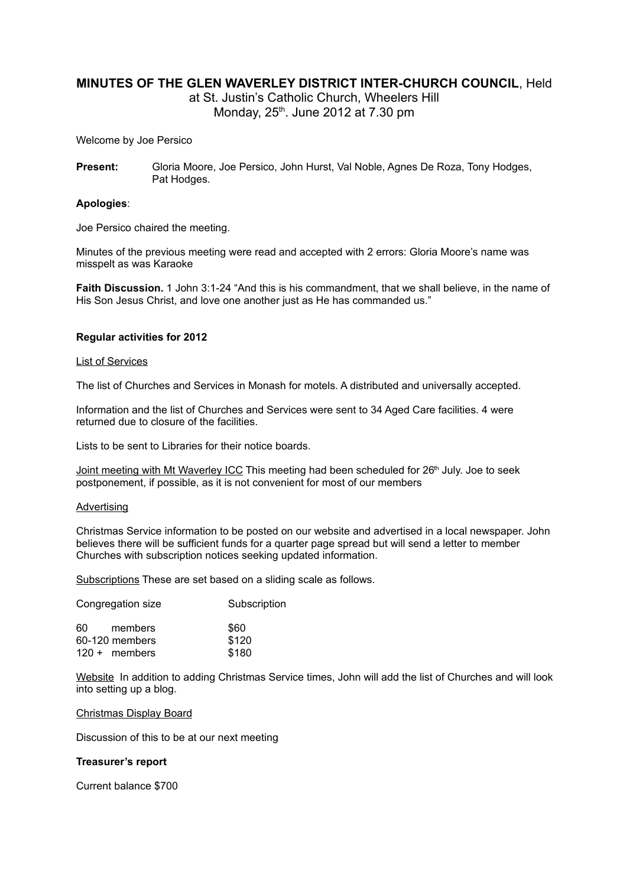# **MINUTES OF THE GLEN WAVERLEY DISTRICT INTER-CHURCH COUNCIL**, Held

at St. Justin's Catholic Church, Wheelers Hill Monday, 25<sup>th</sup>. June 2012 at 7.30 pm

Welcome by Joe Persico

**Present:** Gloria Moore, Joe Persico, John Hurst, Val Noble, Agnes De Roza, Tony Hodges, Pat Hodges.

### **Apologies**:

Joe Persico chaired the meeting.

Minutes of the previous meeting were read and accepted with 2 errors: Gloria Moore's name was misspelt as was Karaoke

**Faith Discussion.** 1 John 3:1-24 "And this is his commandment, that we shall believe, in the name of His Son Jesus Christ, and love one another just as He has commanded us."

### **Regular activities for 2012**

#### List of Services

The list of Churches and Services in Monash for motels. A distributed and universally accepted.

Information and the list of Churches and Services were sent to 34 Aged Care facilities. 4 were returned due to closure of the facilities.

Lists to be sent to Libraries for their notice boards.

Joint meeting with Mt Waverley ICC This meeting had been scheduled for 26<sup>th</sup> July. Joe to seek postponement, if possible, as it is not convenient for most of our members

#### **Advertising**

Christmas Service information to be posted on our website and advertised in a local newspaper. John believes there will be sufficient funds for a quarter page spread but will send a letter to member Churches with subscription notices seeking updated information.

Subscriptions These are set based on a sliding scale as follows.

| Subscription |
|--------------|
| \$60         |
| \$120        |
| \$180        |
|              |

Website In addition to adding Christmas Service times, John will add the list of Churches and will look into setting up a blog.

#### Christmas Display Board

Discussion of this to be at our next meeting

#### **Treasurer's report**

Current balance \$700